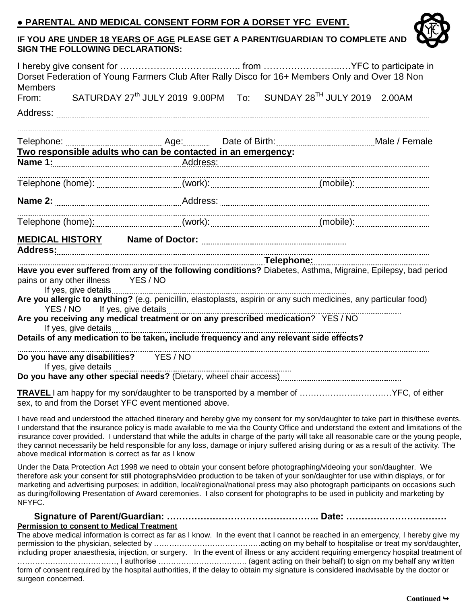## **● PARENTAL AND MEDICAL CONSENT FORM FOR A DORSET YFC EVENT.**



## **IF YOU ARE UNDER 18 YEARS OF AGE PLEASE GET A PARENT/GUARDIAN TO COMPLETE AND SIGN THE FOLLOWING DECLARATIONS:**

| <b>Members</b>                                                                                                                                     |                                     |  |  | Dorset Federation of Young Farmers Club After Rally Disco for 16+ Members Only and Over 18 Non                    |  |
|----------------------------------------------------------------------------------------------------------------------------------------------------|-------------------------------------|--|--|-------------------------------------------------------------------------------------------------------------------|--|
|                                                                                                                                                    |                                     |  |  | From: SATURDAY 27 <sup>th</sup> JULY 2019 9.00PM To: SUNDAY 28 <sup>TH</sup> JULY 2019 2.00AM                     |  |
|                                                                                                                                                    |                                     |  |  |                                                                                                                   |  |
|                                                                                                                                                    |                                     |  |  |                                                                                                                   |  |
|                                                                                                                                                    |                                     |  |  |                                                                                                                   |  |
|                                                                                                                                                    |                                     |  |  |                                                                                                                   |  |
|                                                                                                                                                    |                                     |  |  |                                                                                                                   |  |
|                                                                                                                                                    |                                     |  |  |                                                                                                                   |  |
|                                                                                                                                                    |                                     |  |  |                                                                                                                   |  |
|                                                                                                                                                    |                                     |  |  |                                                                                                                   |  |
| Address:<br>Telephone: Telephone.<br>Have you ever suffered from any of the following conditions? Diabetes, Asthma, Migraine, Epilepsy, bad period |                                     |  |  |                                                                                                                   |  |
|                                                                                                                                                    | pains or any other illness YES / NO |  |  |                                                                                                                   |  |
|                                                                                                                                                    |                                     |  |  | Are you allergic to anything? (e.g. penicillin, elastoplasts, aspirin or any such medicines, any particular food) |  |
|                                                                                                                                                    |                                     |  |  |                                                                                                                   |  |
|                                                                                                                                                    |                                     |  |  |                                                                                                                   |  |
|                                                                                                                                                    |                                     |  |  |                                                                                                                   |  |
|                                                                                                                                                    |                                     |  |  |                                                                                                                   |  |
|                                                                                                                                                    |                                     |  |  |                                                                                                                   |  |

sex, to and from the Dorset YFC event mentioned above.

I have read and understood the attached itinerary and hereby give my consent for my son/daughter to take part in this/these events. I understand that the insurance policy is made available to me via the County Office and understand the extent and limitations of the insurance cover provided. I understand that while the adults in charge of the party will take all reasonable care or the young people, they cannot necessarily be held responsible for any loss, damage or injury suffered arising during or as a result of the activity. The above medical information is correct as far as I know

Under the Data Protection Act 1998 we need to obtain your consent before photographing/videoing your son/daughter. We therefore ask your consent for still photographs/video production to be taken of your son/daughter for use within displays, or for marketing and advertising purposes; in addition, local/regional/national press may also photograph participants on occasions such as during/following Presentation of Award ceremonies. I also consent for photographs to be used in publicity and marketing by NFYFC.

## **Signature of Parent/Guardian: ………………………………………….. Date: ……………………………**

## **Permission to consent to Medical Treatment**

The above medical information is correct as far as I know. In the event that I cannot be reached in an emergency, I hereby give my permission to the physician, selected by ……………………………………acting on my behalf to hospitalise or treat my son/daughter, including proper anaesthesia, injection, or surgery. In the event of illness or any accident requiring emergency hospital treatment of …………………………………, I authorise …………………………….. (agent acting on their behalf) to sign on my behalf any written form of consent required by the hospital authorities, if the delay to obtain my signature is considered inadvisable by the doctor or surgeon concerned.